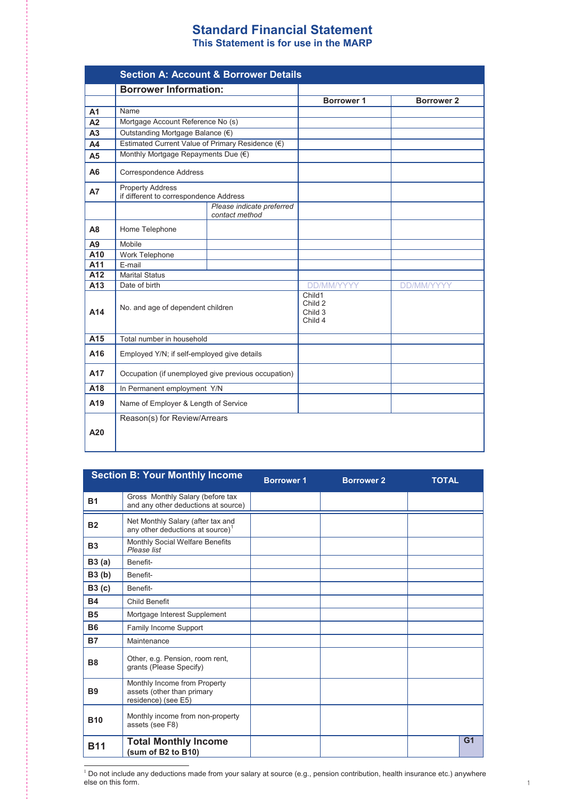## **Standard Financial Statement Standard Financial Statement This Statement is for use in the MARP This Statement is for use in the MARP**

|                |                                                                   | <b>Section A: Account &amp; Borrower Details</b>    |                                         |                   |
|----------------|-------------------------------------------------------------------|-----------------------------------------------------|-----------------------------------------|-------------------|
|                | <b>Borrower Information:</b>                                      |                                                     |                                         |                   |
|                |                                                                   |                                                     | <b>Borrower 1</b>                       | <b>Borrower 2</b> |
| A <sub>1</sub> | Name                                                              |                                                     |                                         |                   |
| A <sub>2</sub> | Mortgage Account Reference No (s)                                 |                                                     |                                         |                   |
| A <sub>3</sub> | Outstanding Mortgage Balance (€)                                  |                                                     |                                         |                   |
| A <sub>4</sub> | Estimated Current Value of Primary Residence (€)                  |                                                     |                                         |                   |
| A <sub>5</sub> | Monthly Mortgage Repayments Due (€)                               |                                                     |                                         |                   |
| A <sub>6</sub> | Correspondence Address                                            |                                                     |                                         |                   |
| <b>A7</b>      | <b>Property Address</b><br>if different to correspondence Address |                                                     |                                         |                   |
|                |                                                                   | Please indicate preferred<br>contact method         |                                         |                   |
| A <sub>8</sub> | Home Telephone                                                    |                                                     |                                         |                   |
| A <sub>9</sub> | Mobile                                                            |                                                     |                                         |                   |
| A10            | Work Telephone                                                    |                                                     |                                         |                   |
| A11            | E-mail                                                            |                                                     |                                         |                   |
| A12            | <b>Marital Status</b>                                             |                                                     |                                         |                   |
| A13            | Date of birth                                                     |                                                     | <b>DD/MM/YYYY</b>                       | <b>DD/MM/YYYY</b> |
| A14            | No. and age of dependent children                                 |                                                     | Child1<br>Child 2<br>Child 3<br>Child 4 |                   |
| A15            | Total number in household                                         |                                                     |                                         |                   |
| A16            | Employed Y/N; if self-employed give details                       |                                                     |                                         |                   |
| A17            |                                                                   | Occupation (if unemployed give previous occupation) |                                         |                   |
| A18            | In Permanent employment Y/N                                       |                                                     |                                         |                   |
| A19            | Name of Employer & Length of Service                              |                                                     |                                         |                   |
| A20            | Reason(s) for Review/Arrears                                      |                                                     |                                         |                   |

|                | <b>Section B: Your Monthly Income</b>                                             | <b>Borrower 1</b> | <b>Borrower 2</b> | <b>TOTAL</b>   |
|----------------|-----------------------------------------------------------------------------------|-------------------|-------------------|----------------|
| <b>B1</b>      | Gross Monthly Salary (before tax<br>and any other deductions at source)           |                   |                   |                |
| <b>B2</b>      | Net Monthly Salary (after tax and<br>any other deductions at source) <sup>1</sup> |                   |                   |                |
| <b>B3</b>      | Monthly Social Welfare Benefits<br>Please list                                    |                   |                   |                |
| B3(a)          | Benefit-                                                                          |                   |                   |                |
| <b>B3</b> (b)  | Benefit-                                                                          |                   |                   |                |
| B3 (c)         | Benefit-                                                                          |                   |                   |                |
| <b>B4</b>      | <b>Child Benefit</b>                                                              |                   |                   |                |
| <b>B5</b>      | Mortgage Interest Supplement                                                      |                   |                   |                |
| <b>B6</b>      | Family Income Support                                                             |                   |                   |                |
| <b>B7</b>      | Maintenance                                                                       |                   |                   |                |
| <b>B8</b>      | Other, e.g. Pension, room rent,<br>grants (Please Specify)                        |                   |                   |                |
| B <sub>9</sub> | Monthly Income from Property<br>assets (other than primary<br>residence) (see E5) |                   |                   |                |
| <b>B10</b>     | Monthly income from non-property<br>assets (see F8)                               |                   |                   |                |
| <b>B11</b>     | <b>Total Monthly Income</b><br>(sum of B2 to B10)                                 |                   |                   | G <sub>1</sub> |

 $M_{\rm H}$  ,  $M_{\rm H}$  is the property from Property from Property from  $P$ 

- $1$  Do not include any deductions made from your salary at source (e.g., pension contribution, health insurance etc.) anywhere else on this form.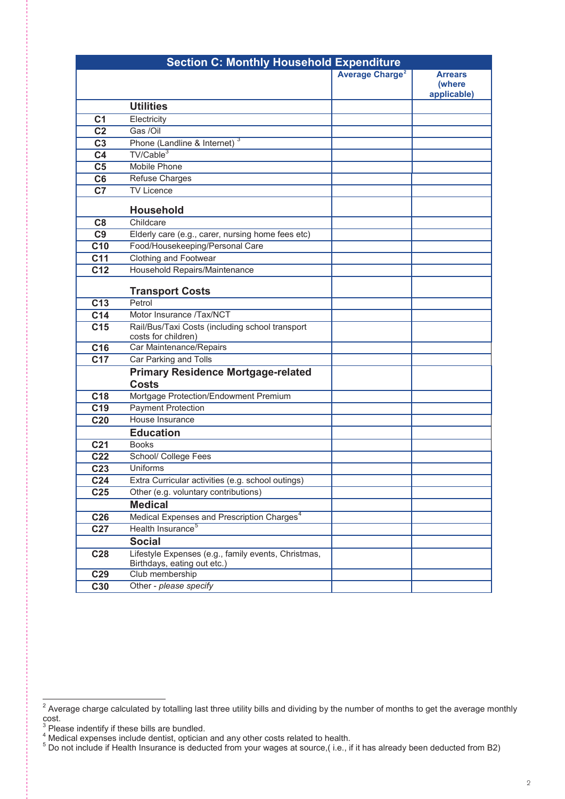|                 | <b>Section C: Monthly Household Expenditure</b>                                         |                                   |                       |
|-----------------|-----------------------------------------------------------------------------------------|-----------------------------------|-----------------------|
|                 |                                                                                         | <b>Average Charge<sup>2</sup></b> | <b>Arrears</b>        |
|                 |                                                                                         |                                   | (where<br>applicable) |
|                 | <b>Utilities</b>                                                                        |                                   |                       |
| C <sub>1</sub>  | Electricity                                                                             |                                   |                       |
| $\overline{C2}$ | Gas /Oil                                                                                |                                   |                       |
| C <sub>3</sub>  | Phone (Landline & Internet) <sup>3</sup>                                                |                                   |                       |
| C <sub>4</sub>  | TV/Cable <sup>3</sup>                                                                   |                                   |                       |
| C <sub>5</sub>  | Mobile Phone                                                                            |                                   |                       |
| C <sub>6</sub>  | Refuse Charges                                                                          |                                   |                       |
| C <sub>7</sub>  | <b>TV Licence</b>                                                                       |                                   |                       |
|                 |                                                                                         |                                   |                       |
|                 | <b>Household</b>                                                                        |                                   |                       |
| C8              | Childcare                                                                               |                                   |                       |
| C <sub>9</sub>  | Elderly care (e.g., carer, nursing home fees etc)                                       |                                   |                       |
| C <sub>10</sub> | Food/Housekeeping/Personal Care                                                         |                                   |                       |
| C <sub>11</sub> | Clothing and Footwear                                                                   |                                   |                       |
| C <sub>12</sub> | Household Repairs/Maintenance                                                           |                                   |                       |
|                 | <b>Transport Costs</b>                                                                  |                                   |                       |
| C <sub>13</sub> | Petrol                                                                                  |                                   |                       |
| C14             | Motor Insurance /Tax/NCT                                                                |                                   |                       |
| C <sub>15</sub> | Rail/Bus/Taxi Costs (including school transport                                         |                                   |                       |
|                 | costs for children)                                                                     |                                   |                       |
| C <sub>16</sub> | Car Maintenance/Repairs                                                                 |                                   |                       |
| C17             | Car Parking and Tolls                                                                   |                                   |                       |
|                 | <b>Primary Residence Mortgage-related</b><br><b>Costs</b>                               |                                   |                       |
| C <sub>18</sub> | Mortgage Protection/Endowment Premium                                                   |                                   |                       |
| C <sub>19</sub> | <b>Payment Protection</b>                                                               |                                   |                       |
| C <sub>20</sub> | House Insurance                                                                         |                                   |                       |
|                 | <b>Education</b>                                                                        |                                   |                       |
| C <sub>21</sub> | <b>Books</b>                                                                            |                                   |                       |
| C <sub>22</sub> | School/ College Fees                                                                    |                                   |                       |
| C <sub>23</sub> | Uniforms                                                                                |                                   |                       |
| C <sub>24</sub> | Extra Curricular activities (e.g. school outings)                                       |                                   |                       |
|                 | Other (e.g. voluntary contributions)                                                    |                                   |                       |
| C <sub>25</sub> |                                                                                         |                                   |                       |
|                 | <b>Medical</b>                                                                          |                                   |                       |
| C <sub>26</sub> | Medical Expenses and Prescription Charges <sup>4</sup><br>Health Insurance <sup>5</sup> |                                   |                       |
| C <sub>27</sub> |                                                                                         |                                   |                       |
|                 | <b>Social</b>                                                                           |                                   |                       |
| C <sub>28</sub> | Lifestyle Expenses (e.g., family events, Christmas,<br>Birthdays, eating out etc.)      |                                   |                       |
| C <sub>29</sub> | Club membership                                                                         |                                   |                       |
| C30             | Other - please specify                                                                  |                                   |                       |

cost.

 $\overline{1}$  $^2$  Average charge calculated by totalling last three utility bills and dividing by the number of months to get the average monthly cost. <sup>2</sup> Average charge calculated by totalling last three utility bills and dividing by the number of months to get the average monthly  $\frac{3}{3}$   $\frac{3}{2}$   $\frac{3}{2}$   $\frac{3}{2}$   $\frac{3}{2}$   $\frac{3}{2}$   $\frac{3}{2}$   $\frac{3}{2}$   $\frac{3}{2}$   $\frac{3}{2}$   $\frac{3}{2}$   $\frac{3}{2}$   $\frac{3}{2}$   $\frac{3}{2}$   $\frac{3}{2}$   $\frac{3}{2}$   $\frac{3}{2}$   $\frac{3}{2}$   $\frac{3}{2}$   $\frac{3}{2}$   $\frac{3}{2}$   $\frac{3}{2}$ 

 $\frac{3}{1}$  Please indentify if these bills are bundled.  $\frac{3}{4}$  Mease indentify if these bills are bundled.<br> $\frac{4 \text{ M}}{4 \text{ M}}$  and any other costs related to health.

 $\frac{4}{3}$  Medical expenses include dentist, optician and any other costs related to health.  $\frac{1}{5}$  Do not include if Health Insurance is deducted from your wages at source,(i.e., if it has already been deducted from B2)

 $^5$  Do not include if Health Insurance is deducted from your wages at source,( i.e., if it has already been deducted from B2)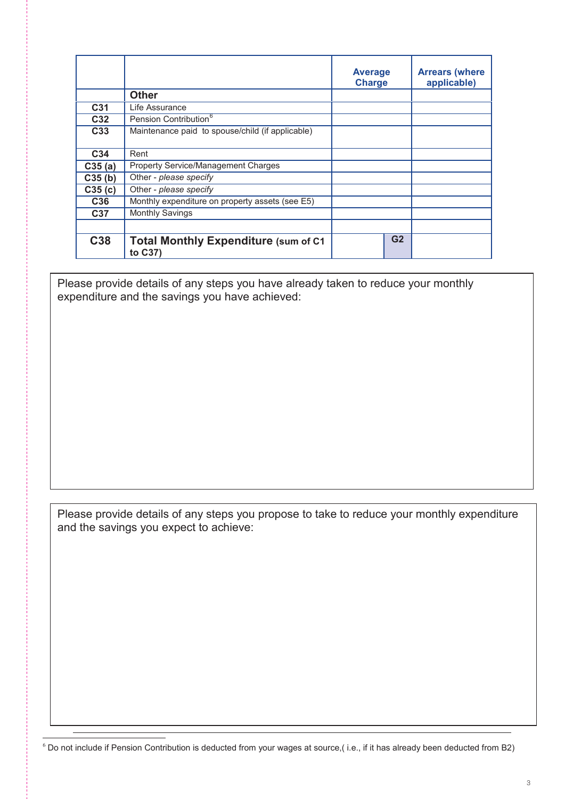|                 |                                                         | <b>Average</b><br><b>Charge</b> | <b>Arrears (where</b><br>applicable) |
|-----------------|---------------------------------------------------------|---------------------------------|--------------------------------------|
|                 | <b>Other</b>                                            |                                 |                                      |
| C31             | Life Assurance                                          |                                 |                                      |
| C32             | Pension Contribution <sup>6</sup>                       |                                 |                                      |
| C <sub>33</sub> | Maintenance paid to spouse/child (if applicable)        |                                 |                                      |
| C34             | Rent                                                    |                                 |                                      |
| C35(a)          | Property Service/Management Charges                     |                                 |                                      |
| C35(b)          | Other - please specify                                  |                                 |                                      |
| C35(c)          | Other - please specify                                  |                                 |                                      |
| C <sub>36</sub> | Monthly expenditure on property assets (see E5)         |                                 |                                      |
| C37             | <b>Monthly Savings</b>                                  |                                 |                                      |
| C38             | <b>Total Monthly Expenditure (sum of C1)</b><br>to C37) | G <sub>2</sub>                  |                                      |

**C37** Monthly Savings expenditure and the savings you have achieved: Please provide details of any steps you have already taken to reduce your monthly

Please provide details of any steps you propose to take to reduce your monthly expenditure and the savings you expect to achieve:

 $\overline{\phantom{a}}$  Do not include if Pension Contribution is deducted from your wages at source,( i.e., if it has already been deducted from B2)

 $\overline{a}$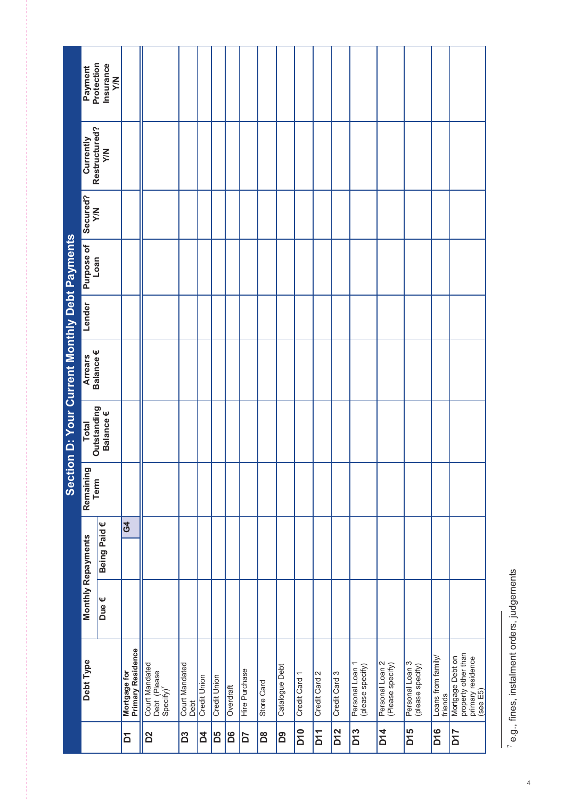| Section D: Your Current Monthly Debt Payments | Protection<br>Payment<br>Restructured?<br>Currently<br>Secured?<br>$\geq$<br>Purpose of<br>Loan<br>Lender<br>Arrears<br>Balance €<br>Outstanding<br><b>Total</b><br>Remaining<br>Term<br><b>Monthly Repayments</b> | Insurance<br>$\geq$<br>$\sum_{i=1}^{n}$<br>Balance €<br>Being Paid € | G4                                |                                                         |                        |                |                     |           |               |            |                |                 |               |                 |                                     |                                     |                                     |                               |                                                                          |
|-----------------------------------------------|--------------------------------------------------------------------------------------------------------------------------------------------------------------------------------------------------------------------|----------------------------------------------------------------------|-----------------------------------|---------------------------------------------------------|------------------------|----------------|---------------------|-----------|---------------|------------|----------------|-----------------|---------------|-----------------|-------------------------------------|-------------------------------------|-------------------------------------|-------------------------------|--------------------------------------------------------------------------|
|                                               |                                                                                                                                                                                                                    |                                                                      |                                   |                                                         |                        |                |                     |           |               |            |                |                 |               |                 |                                     |                                     |                                     |                               |                                                                          |
|                                               | Debt Type                                                                                                                                                                                                          | Due€                                                                 | Mortgage for<br>Primary Residence | Court Mandated<br>Debt (Please<br>Specify) <sup>7</sup> | Court Mandated<br>Debt | Credit Union   | <b>Credit Union</b> | Overdraft | Hire Purchase | Store Card | Catalogue Debt | Credit Card 1   | Credit Card 2 | Credit Card 3   | Personal Loan 1<br>(please specify) | Personal Loan 2<br>(Please specify) | Personal Loan 3<br>(please specify) | Loans from family/<br>friends | property other than<br>primary residence<br>(see E5)<br>Mortgage Debt on |
|                                               |                                                                                                                                                                                                                    |                                                                      | Σ                                 | D <sup>2</sup>                                          | D3                     | $\overline{a}$ | B5                  | 8Q        | 50            | Bã         | D9             | D <sub>10</sub> | <b>D11</b>    | D <sub>12</sub> | D <sub>13</sub>                     | <b>D14</b>                          | D <sub>15</sub>                     | D <sub>16</sub>               | <b>7rd</b>                                                               |

 $7$  e.g., fines, instalment orders, judgements e.g., fines, instalment orders, judgements

4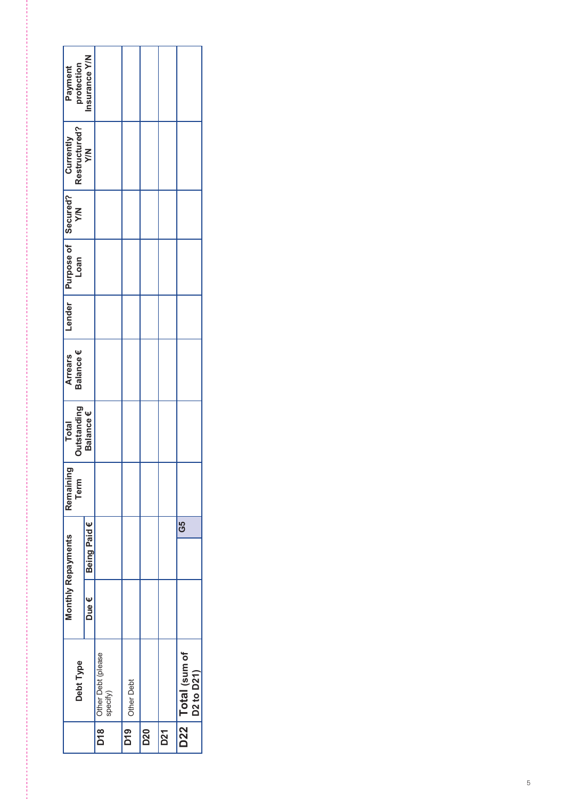|                       |                                                                                             |               |                                      | D <sub>19</sub> | D20 | <b>D21</b> |                                                            |
|-----------------------|---------------------------------------------------------------------------------------------|---------------|--------------------------------------|-----------------|-----|------------|------------------------------------------------------------|
|                       | Debt Type                                                                                   |               | D18   Other Debt (please<br>specify) | Other Debt      |     |            | D22   Total (sum of<br>D <sub>2</sub> to D <sub>21</sub> ) |
|                       |                                                                                             | Due €         |                                      |                 |     |            |                                                            |
| Monthly Repayments    |                                                                                             | Being Paid €  |                                      |                 |     |            | G5                                                         |
| Remaining             | Term                                                                                        |               |                                      |                 |     |            |                                                            |
| Total                 | Outstanding<br>Balance€                                                                     |               |                                      |                 |     |            |                                                            |
| <b>Arrears</b>        | Balance €                                                                                   |               |                                      |                 |     |            |                                                            |
|                       |                                                                                             |               |                                      |                 |     |            |                                                            |
|                       |                                                                                             |               |                                      |                 |     |            |                                                            |
|                       |                                                                                             |               |                                      |                 |     |            |                                                            |
|                       | Restructured?<br>Y/N<br>Lender Purpose of Secured? Currently<br>Loan Toan Y/N Restructured? |               |                                      |                 |     |            |                                                            |
| Payment<br>protection |                                                                                             | Insurance Y/N |                                      |                 |     |            |                                                            |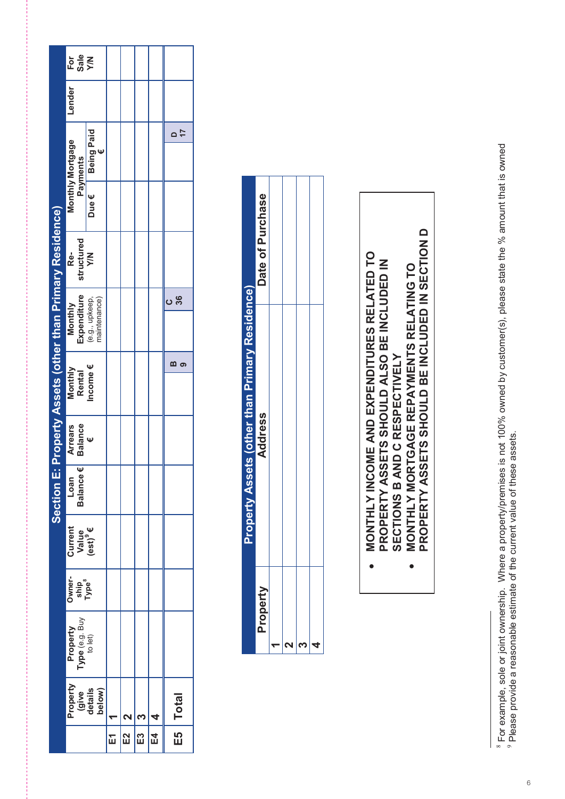|                                                           |                                          |                                        | ř | E2 | E3 | <b>Total</b><br>ES<br>El |
|-----------------------------------------------------------|------------------------------------------|----------------------------------------|---|----|----|--------------------------|
|                                                           |                                          | Property<br>(give<br>details<br>below) |   |    |    |                          |
|                                                           | Property<br>Type (e.g. Buy<br>to let)    |                                        |   |    |    |                          |
|                                                           | Owner-<br>ship<br>Type <sup>8</sup>      |                                        |   |    |    |                          |
|                                                           | Current<br>Value<br>(est) <sup>9</sup> € |                                        |   |    |    |                          |
|                                                           | Ψ<br><b>Balance</b><br>Loan              |                                        |   |    |    |                          |
|                                                           | <b>Balance</b><br><b>Arrears</b>         | Ψ                                      |   |    |    |                          |
|                                                           | Monthly<br><b>Rental</b>                 | Income $\epsilon$                      |   |    |    | m<br>6                   |
|                                                           | Expenditure<br>Monthly                   | (e.g., upkeep,<br>maintenance)         |   |    |    |                          |
| Section E: Property Assets (other than Primary Residence) | structured<br>Re-                        | <b>NX</b>                              |   |    |    | 36<br>ပ                  |
|                                                           |                                          | Due €                                  |   |    |    |                          |
|                                                           | Monthly Mortgage<br>Payments             | <b>Being Paid</b>                      |   |    |    | $\overline{1}$           |
|                                                           | Lender                                   |                                        |   |    |    |                          |
|                                                           | Sale<br>Y/N<br>For                       |                                        |   |    |    |                          |

|         | <b>roperty Assets (other than Primary Residence)</b> |                  |
|---------|------------------------------------------------------|------------------|
| Propert | <b>Address</b>                                       | Date of Purchase |
|         |                                                      |                  |
|         |                                                      |                  |
|         |                                                      |                  |
|         |                                                      |                  |

- **MONTHLY INCOME AND EXPENDITURES RELATED TO**  MONTHLY INCOME AND EXPENDITURES RELATED TO **PROPERTY ASSETS SHOULD ALSO BE INCLUDED IN**  PROPERTY ASSETS SHOULD ALSO BE INCLUDED IN **MONTHLY MORTGAGE REPAYMENTS RELATING TO**  SECTIONS B AND C RESPECTIVELY **SECTIONS B AND C RESPECTIVELY** ••
	- PROPERTY ASSETS SHOULD BE INCLUDED IN SECTION D **PROPERTY ASSETS SHOULD BE INCLUDED IN SECTION D** MONTHLY MORTGAGE REPAYMENTS RELATING TO

 $\infty$   $\infty$ 

For example, sole or joint ownership. Where a property/premises is not 100% owned by customer(s), please state the % amount that is owned Please provide a reasonable estimate of the current value of these assets.